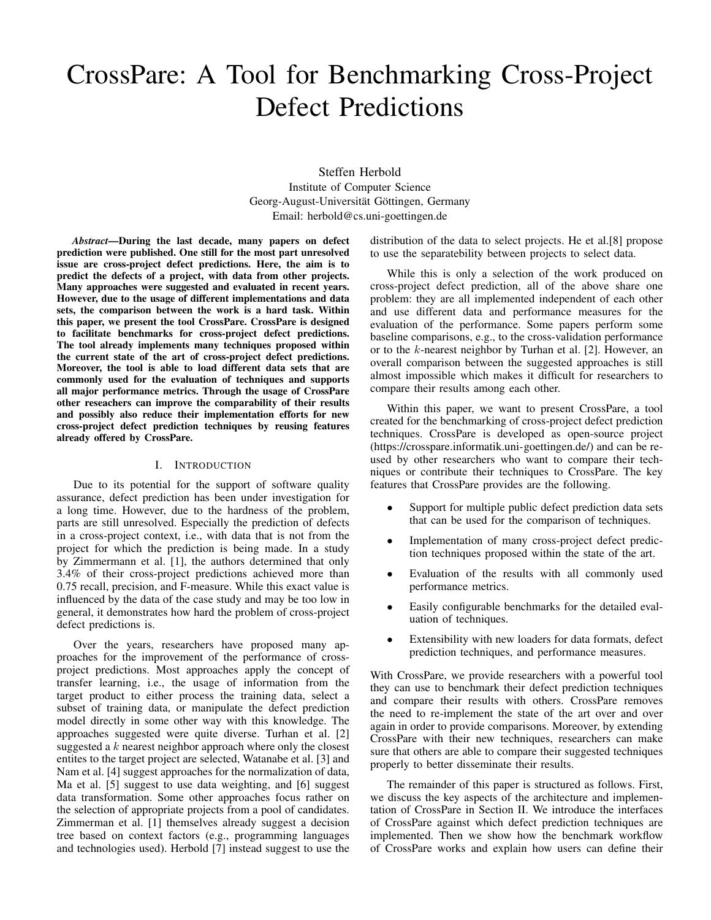# CrossPare: A Tool for Benchmarking Cross-Project Defect Predictions

Steffen Herbold Institute of Computer Science Georg-August-Universität Göttingen, Germany Email: herbold@cs.uni-goettingen.de

*Abstract*—During the last decade, many papers on defect prediction were published. One still for the most part unresolved issue are cross-project defect predictions. Here, the aim is to predict the defects of a project, with data from other projects. Many approaches were suggested and evaluated in recent years. However, due to the usage of different implementations and data sets, the comparison between the work is a hard task. Within this paper, we present the tool CrossPare. CrossPare is designed to facilitate benchmarks for cross-project defect predictions. The tool already implements many techniques proposed within the current state of the art of cross-project defect predictions. Moreover, the tool is able to load different data sets that are commonly used for the evaluation of techniques and supports all major performance metrics. Through the usage of CrossPare other reseachers can improve the comparability of their results and possibly also reduce their implementation efforts for new cross-project defect prediction techniques by reusing features already offered by CrossPare.

## I. INTRODUCTION

Due to its potential for the support of software quality assurance, defect prediction has been under investigation for a long time. However, due to the hardness of the problem, parts are still unresolved. Especially the prediction of defects in a cross-project context, i.e., with data that is not from the project for which the prediction is being made. In a study by Zimmermann et al. [1], the authors determined that only 3.4% of their cross-project predictions achieved more than 0.75 recall, precision, and F-measure. While this exact value is influenced by the data of the case study and may be too low in general, it demonstrates how hard the problem of cross-project defect predictions is.

Over the years, researchers have proposed many approaches for the improvement of the performance of crossproject predictions. Most approaches apply the concept of transfer learning, i.e., the usage of information from the target product to either process the training data, select a subset of training data, or manipulate the defect prediction model directly in some other way with this knowledge. The approaches suggested were quite diverse. Turhan et al. [2] suggested a  $k$  nearest neighbor approach where only the closest entites to the target project are selected, Watanabe et al. [3] and Nam et al. [4] suggest approaches for the normalization of data, Ma et al. [5] suggest to use data weighting, and [6] suggest data transformation. Some other approaches focus rather on the selection of appropriate projects from a pool of candidates. Zimmerman et al. [1] themselves already suggest a decision tree based on context factors (e.g., programming languages and technologies used). Herbold [7] instead suggest to use the distribution of the data to select projects. He et al.[8] propose to use the separatebility between projects to select data.

While this is only a selection of the work produced on cross-project defect prediction, all of the above share one problem: they are all implemented independent of each other and use different data and performance measures for the evaluation of the performance. Some papers perform some baseline comparisons, e.g., to the cross-validation performance or to the k-nearest neighbor by Turhan et al. [2]. However, an overall comparison between the suggested approaches is still almost impossible which makes it difficult for researchers to compare their results among each other.

Within this paper, we want to present CrossPare, a tool created for the benchmarking of cross-project defect prediction techniques. CrossPare is developed as open-source project (https://crosspare.informatik.uni-goettingen.de/) and can be reused by other researchers who want to compare their techniques or contribute their techniques to CrossPare. The key features that CrossPare provides are the following.

- Support for multiple public defect prediction data sets that can be used for the comparison of techniques.
- Implementation of many cross-project defect prediction techniques proposed within the state of the art.
- Evaluation of the results with all commonly used performance metrics.
- Easily configurable benchmarks for the detailed evaluation of techniques.
- Extensibility with new loaders for data formats, defect prediction techniques, and performance measures.

With CrossPare, we provide researchers with a powerful tool they can use to benchmark their defect prediction techniques and compare their results with others. CrossPare removes the need to re-implement the state of the art over and over again in order to provide comparisons. Moreover, by extending CrossPare with their new techniques, researchers can make sure that others are able to compare their suggested techniques properly to better disseminate their results.

The remainder of this paper is structured as follows. First, we discuss the key aspects of the architecture and implementation of CrossPare in Section II. We introduce the interfaces of CrossPare against which defect prediction techniques are implemented. Then we show how the benchmark workflow of CrossPare works and explain how users can define their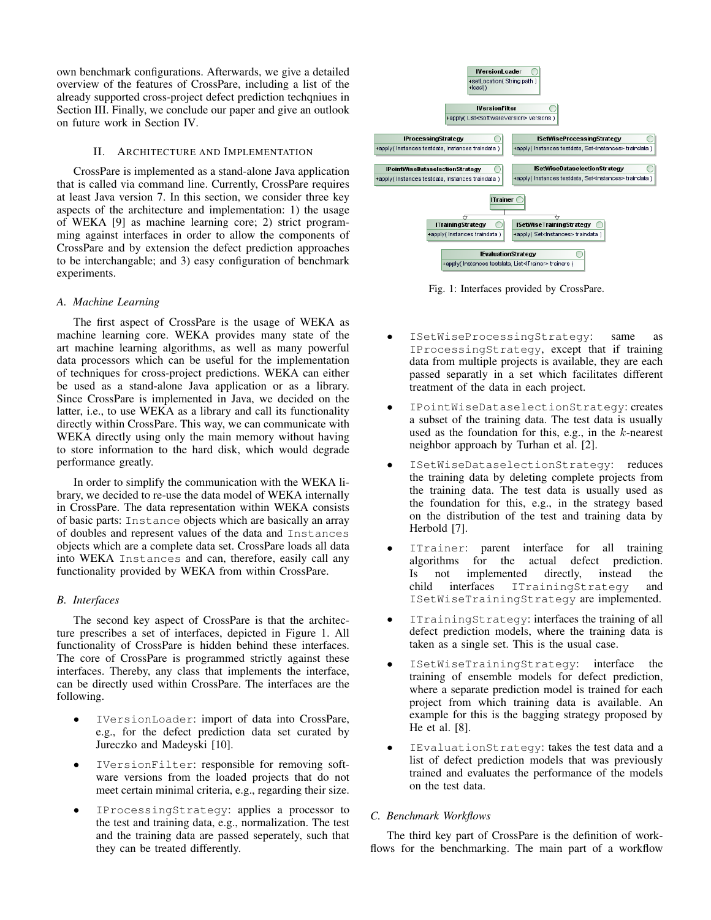own benchmark configurations. Afterwards, we give a detailed overview of the features of CrossPare, including a list of the already supported cross-project defect prediction techqniues in Section III. Finally, we conclude our paper and give an outlook on future work in Section IV.

## II. ARCHITECTURE AND IMPLEMENTATION

CrossPare is implemented as a stand-alone Java application that is called via command line. Currently, CrossPare requires at least Java version 7. In this section, we consider three key aspects of the architecture and implementation: 1) the usage of WEKA [9] as machine learning core; 2) strict programming against interfaces in order to allow the components of CrossPare and by extension the defect prediction approaches to be interchangable; and 3) easy configuration of benchmark experiments.

## *A. Machine Learning*

The first aspect of CrossPare is the usage of WEKA as machine learning core. WEKA provides many state of the art machine learning algorithms, as well as many powerful data processors which can be useful for the implementation of techniques for cross-project predictions. WEKA can either be used as a stand-alone Java application or as a library. Since CrossPare is implemented in Java, we decided on the latter, i.e., to use WEKA as a library and call its functionality directly within CrossPare. This way, we can communicate with WEKA directly using only the main memory without having to store information to the hard disk, which would degrade performance greatly.

In order to simplify the communication with the WEKA library, we decided to re-use the data model of WEKA internally in CrossPare. The data representation within WEKA consists of basic parts: Instance objects which are basically an array of doubles and represent values of the data and Instances objects which are a complete data set. CrossPare loads all data into WEKA Instances and can, therefore, easily call any functionality provided by WEKA from within CrossPare.

# *B. Interfaces*

The second key aspect of CrossPare is that the architecture prescribes a set of interfaces, depicted in Figure 1. All functionality of CrossPare is hidden behind these interfaces. The core of CrossPare is programmed strictly against these interfaces. Thereby, any class that implements the interface, can be directly used within CrossPare. The interfaces are the following.

- IVersionLoader: import of data into CrossPare, e.g., for the defect prediction data set curated by Jureczko and Madeyski [10].
- IVersionFilter: responsible for removing software versions from the loaded projects that do not meet certain minimal criteria, e.g., regarding their size.
- IProcessingStrategy: applies a processor to the test and training data, e.g., normalization. The test and the training data are passed seperately, such that they can be treated differently.



Fig. 1: Interfaces provided by CrossPare.

- ISetWiseProcessingStrategy: same as IProcessingStrategy, except that if training data from multiple projects is available, they are each passed separatly in a set which facilitates different treatment of the data in each project.
- IPointWiseDataselectionStrategy: creates a subset of the training data. The test data is usually used as the foundation for this, e.g., in the  $k$ -nearest neighbor approach by Turhan et al. [2].
- ISetWiseDataselectionStrategy: reduces the training data by deleting complete projects from the training data. The test data is usually used as the foundation for this, e.g., in the strategy based on the distribution of the test and training data by Herbold [7].
- ITrainer: parent interface for all training algorithms for the actual defect prediction. Is not implemented directly, instead the<br>child interfaces ITrainingStrategy and ITrainingStrategy and ISetWiseTrainingStrategy are implemented.
- ITrainingStrategy: interfaces the training of all defect prediction models, where the training data is taken as a single set. This is the usual case.
- ISetWiseTrainingStrategy: interface the training of ensemble models for defect prediction, where a separate prediction model is trained for each project from which training data is available. An example for this is the bagging strategy proposed by He et al. [8].
- IEvaluationStrategy: takes the test data and a list of defect prediction models that was previously trained and evaluates the performance of the models on the test data.

# *C. Benchmark Workflows*

The third key part of CrossPare is the definition of workflows for the benchmarking. The main part of a workflow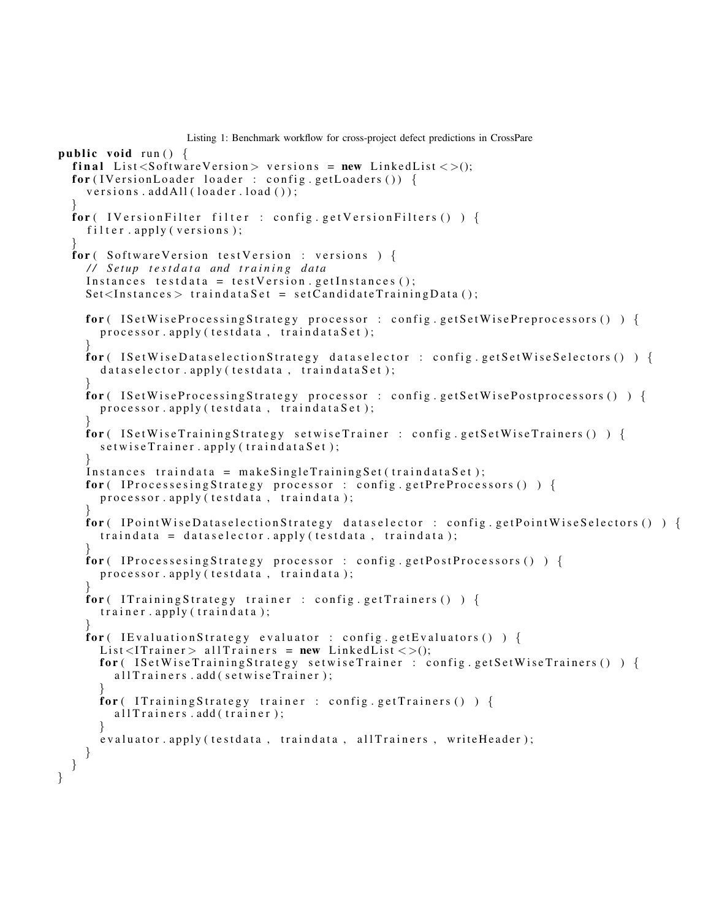```
Listing 1: Benchmark workflow for cross-project defect predictions in CrossPare
public void run () \{final List <SoftwareVersion > versions = new LinkedList < > ();
  for (IVersionLoader \: loader \: : \: config \: getLoader) \{versions.addAll(loader.load());
  }
  for (IV ersion Filter filter : config.get V ersion Filters () ) {
    filter. apply (versions);
  }
  for (Software Version test Version : versions) {
    / / S et u p t e s t d a t a and t r a i n i n g d at a
    Instances testdata = testVersion.getInstances();
    Set <Instances > traindataSet = setCandidateTrainingData();
    for ( ISet Wise Processing Strategy processor : config.get Set Wise Preprocessors () ) {
      processor.apply (testdata, traindataSet);
    }
    for ( ISet Wise Dataselection Strategy dataselector : config.get Set Wise Selectors () ) {
      data selector . apply (test data , train data Set);}
    for ( ISetWiseProcessingStrategy processor : config.getSetWisePostprocessors () ) {
       processor. apply (testdata, traindataSet);
    }
    for ( IS et Wise Training Strategy set wise Trainer : config.get Set Wise Trainers () ) {
      s e t w i s e T r a i n e r . a p pl y (traind a t a S e t);
    }
    In stances traindata = make Single Training Set (traindata Set);
    for ( IProcessesing Strategy processor : config.get PreProcessors () ) {
      processor. apply (testdata, traindata);
    }
    for ( IP o int W is e D at a selection Strategy dataselector : config.get Point W is e Selectors () ) {
       traindata = datasetector.appendy(testdata, traindata);}
    for (IProcessesing Strategy processor : config.get Post Processors () ) {
       processor. apply (testdata, traindata);
    }
    for ( I Training Strategy trainer : config. get Trainers () ) {
       trainer. apply (traindata);
    }
    for ( IEvaluation Strategy evaluator : config.get Evaluators () ) {
      List < ITrainer > a11Trainers = new LinkedList <>();for ( IS et Wise Training Strategy set wise Trainer : config.get Set Wise Trainers () ) {
         all Trainers. add (setwise Trainer);
       }
      for ( I Training Strategy trainer : config.get Trainers () ) {
         all Trainers. add (trainer);
       }
      evaluator.apply (testdata, traindata, all Trainers, write Header);
    }
  }
}
```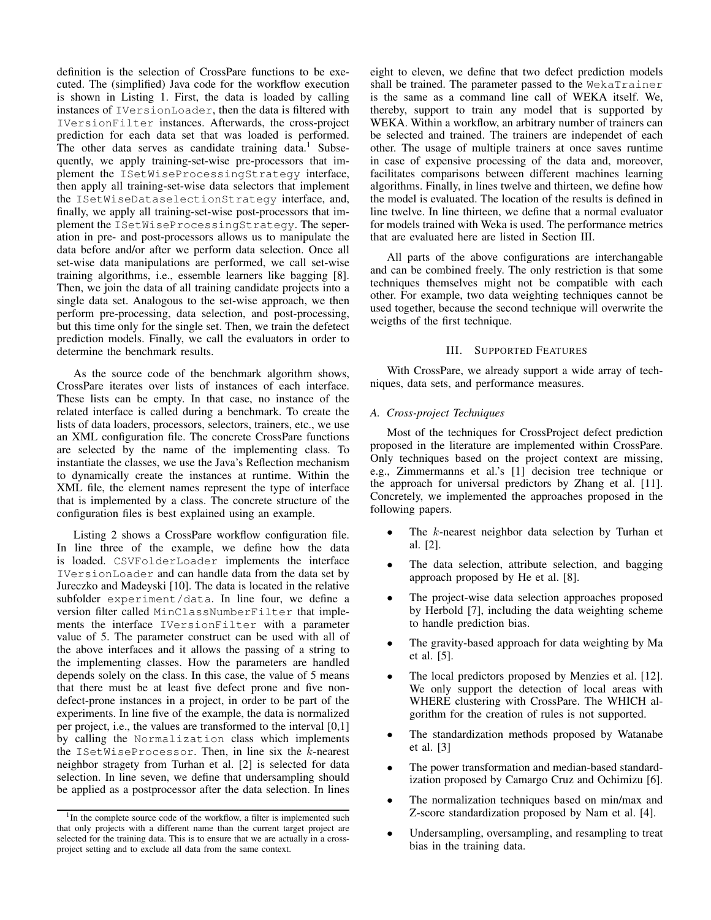definition is the selection of CrossPare functions to be executed. The (simplified) Java code for the workflow execution is shown in Listing 1. First, the data is loaded by calling instances of IVersionLoader, then the data is filtered with IVersionFilter instances. Afterwards, the cross-project prediction for each data set that was loaded is performed. The other data serves as candidate training data.<sup>1</sup> Subsequently, we apply training-set-wise pre-processors that implement the ISetWiseProcessingStrategy interface, then apply all training-set-wise data selectors that implement the ISetWiseDataselectionStrategy interface, and, finally, we apply all training-set-wise post-processors that implement the ISetWiseProcessingStrategy. The seperation in pre- and post-processors allows us to manipulate the data before and/or after we perform data selection. Once all set-wise data manipulations are performed, we call set-wise training algorithms, i.e., essemble learners like bagging [8]. Then, we join the data of all training candidate projects into a single data set. Analogous to the set-wise approach, we then perform pre-processing, data selection, and post-processing, but this time only for the single set. Then, we train the defetect prediction models. Finally, we call the evaluators in order to determine the benchmark results.

As the source code of the benchmark algorithm shows, CrossPare iterates over lists of instances of each interface. These lists can be empty. In that case, no instance of the related interface is called during a benchmark. To create the lists of data loaders, processors, selectors, trainers, etc., we use an XML configuration file. The concrete CrossPare functions are selected by the name of the implementing class. To instantiate the classes, we use the Java's Reflection mechanism to dynamically create the instances at runtime. Within the XML file, the element names represent the type of interface that is implemented by a class. The concrete structure of the configuration files is best explained using an example.

Listing 2 shows a CrossPare workflow configuration file. In line three of the example, we define how the data is loaded. CSVFolderLoader implements the interface IVersionLoader and can handle data from the data set by Jureczko and Madeyski [10]. The data is located in the relative subfolder experiment/data. In line four, we define a version filter called MinClassNumberFilter that implements the interface IVersionFilter with a parameter value of 5. The parameter construct can be used with all of the above interfaces and it allows the passing of a string to the implementing classes. How the parameters are handled depends solely on the class. In this case, the value of 5 means that there must be at least five defect prone and five nondefect-prone instances in a project, in order to be part of the experiments. In line five of the example, the data is normalized per project, i.e., the values are transformed to the interval [0,1] by calling the Normalization class which implements the ISetWiseProcessor. Then, in line six the  $k$ -nearest neighbor stragety from Turhan et al. [2] is selected for data selection. In line seven, we define that undersampling should be applied as a postprocessor after the data selection. In lines

eight to eleven, we define that two defect prediction models shall be trained. The parameter passed to the WekaTrainer is the same as a command line call of WEKA itself. We, thereby, support to train any model that is supported by WEKA. Within a workflow, an arbitrary number of trainers can be selected and trained. The trainers are independet of each other. The usage of multiple trainers at once saves runtime in case of expensive processing of the data and, moreover, facilitates comparisons between different machines learning algorithms. Finally, in lines twelve and thirteen, we define how the model is evaluated. The location of the results is defined in line twelve. In line thirteen, we define that a normal evaluator for models trained with Weka is used. The performance metrics that are evaluated here are listed in Section III.

All parts of the above configurations are interchangable and can be combined freely. The only restriction is that some techniques themselves might not be compatible with each other. For example, two data weighting techniques cannot be used together, because the second technique will overwrite the weigths of the first technique.

# III. SUPPORTED FEATURES

With CrossPare, we already support a wide array of techniques, data sets, and performance measures.

# *A. Cross-project Techniques*

Most of the techniques for CrossProject defect prediction proposed in the literature are implemented within CrossPare. Only techniques based on the project context are missing, e.g., Zimmermanns et al.'s [1] decision tree technique or the approach for universal predictors by Zhang et al. [11]. Concretely, we implemented the approaches proposed in the following papers.

- The  $k$ -nearest neighbor data selection by Turhan et al. [2].
- The data selection, attribute selection, and bagging approach proposed by He et al. [8].
- The project-wise data selection approaches proposed by Herbold [7], including the data weighting scheme to handle prediction bias.
- The gravity-based approach for data weighting by Ma et al. [5].
- The local predictors proposed by Menzies et al. [12]. We only support the detection of local areas with WHERE clustering with CrossPare. The WHICH algorithm for the creation of rules is not supported.
- The standardization methods proposed by Watanabe et al. [3]
- The power transformation and median-based standardization proposed by Camargo Cruz and Ochimizu [6].
- The normalization techniques based on min/max and Z-score standardization proposed by Nam et al. [4].
- Undersampling, oversampling, and resampling to treat bias in the training data.

<sup>&</sup>lt;sup>1</sup>In the complete source code of the workflow, a filter is implemented such that only projects with a different name than the current target project are selected for the training data. This is to ensure that we are actually in a crossproject setting and to exclude all data from the same context.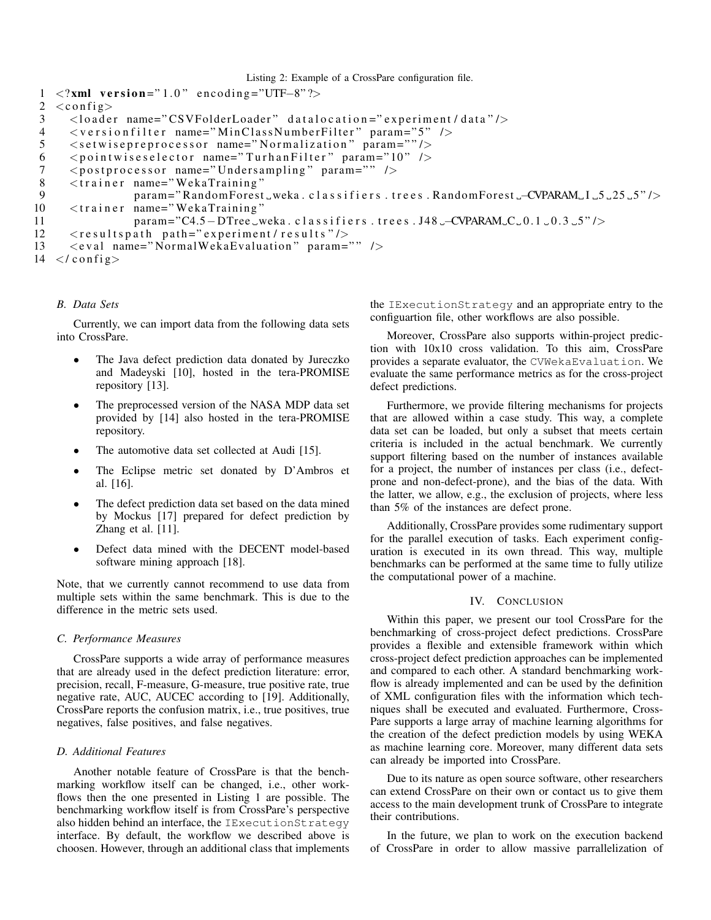```
Listing 2: Example of a CrossPare configuration file.
1 <?xml version="1.0" encoding="UTF-8"?>
2 <config>3 <loader name="CSVFolderLoader" datalocation="experiment/data"/>
 4 <versionfilter name="MinClassNumberFilter" param="5" />
 5 <setwisepreprocessor name="Normalization" param=""/>
6 <pointwiseselector name="TurhanFilter" param="10" />
7 <postprocessor name="Undersampling" param="" />
8 <trainer name="WekaTraining"
9 param=" RandomForest _weka . c l a s s i f i e r s . t r e e s . RandomForest -- CVPARAM I 1 5 25 5" />
10 <trainer name="WekaTraining"
11 param="C4.5−DTree _weka . c l a s s i f i e r s . J + 8 <sup>-</sup>CVPARAM _C _0.1 _0.3 _5"/>
12 \langle resultspath path="experiment/results"\langle >
13 \le eval name="NormalWekaEvaluation" param="" />
14 </config>
```
#### *B. Data Sets*

Currently, we can import data from the following data sets into CrossPare.

- The Java defect prediction data donated by Jureczko and Madeyski [10], hosted in the tera-PROMISE repository [13].
- The preprocessed version of the NASA MDP data set provided by [14] also hosted in the tera-PROMISE repository.
- The automotive data set collected at Audi [15].
- The Eclipse metric set donated by D'Ambros et al. [16].
- The defect prediction data set based on the data mined by Mockus [17] prepared for defect prediction by Zhang et al. [11].
- Defect data mined with the DECENT model-based software mining approach [18].

Note, that we currently cannot recommend to use data from multiple sets within the same benchmark. This is due to the difference in the metric sets used.

## *C. Performance Measures*

CrossPare supports a wide array of performance measures that are already used in the defect prediction literature: error, precision, recall, F-measure, G-measure, true positive rate, true negative rate, AUC, AUCEC according to [19]. Additionally, CrossPare reports the confusion matrix, i.e., true positives, true negatives, false positives, and false negatives.

## *D. Additional Features*

Another notable feature of CrossPare is that the benchmarking workflow itself can be changed, i.e., other workflows then the one presented in Listing 1 are possible. The benchmarking workflow itself is from CrossPare's perspective also hidden behind an interface, the IExecutionStrategy interface. By default, the workflow we described above is choosen. However, through an additional class that implements the IExecutionStrategy and an appropriate entry to the configuartion file, other workflows are also possible.

Moreover, CrossPare also supports within-project prediction with 10x10 cross validation. To this aim, CrossPare provides a separate evaluator, the CVWekaEvaluation. We evaluate the same performance metrics as for the cross-project defect predictions.

Furthermore, we provide filtering mechanisms for projects that are allowed within a case study. This way, a complete data set can be loaded, but only a subset that meets certain criteria is included in the actual benchmark. We currently support filtering based on the number of instances available for a project, the number of instances per class (i.e., defectprone and non-defect-prone), and the bias of the data. With the latter, we allow, e.g., the exclusion of projects, where less than 5% of the instances are defect prone.

Additionally, CrossPare provides some rudimentary support for the parallel execution of tasks. Each experiment configuration is executed in its own thread. This way, multiple benchmarks can be performed at the same time to fully utilize the computational power of a machine.

## IV. CONCLUSION

Within this paper, we present our tool CrossPare for the benchmarking of cross-project defect predictions. CrossPare provides a flexible and extensible framework within which cross-project defect prediction approaches can be implemented and compared to each other. A standard benchmarking workflow is already implemented and can be used by the definition of XML configuration files with the information which techniques shall be executed and evaluated. Furthermore, Cross-Pare supports a large array of machine learning algorithms for the creation of the defect prediction models by using WEKA as machine learning core. Moreover, many different data sets can already be imported into CrossPare.

Due to its nature as open source software, other researchers can extend CrossPare on their own or contact us to give them access to the main development trunk of CrossPare to integrate their contributions.

In the future, we plan to work on the execution backend of CrossPare in order to allow massive parrallelization of